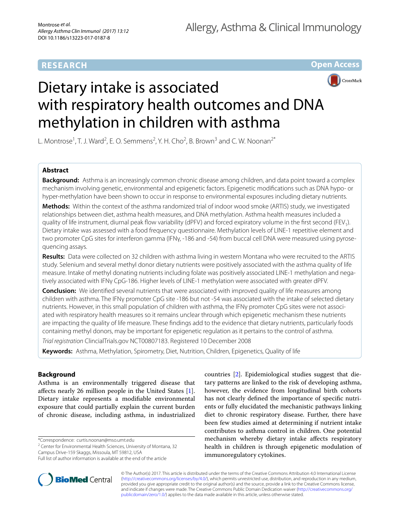**Open Access**



# Dietary intake is associated with respiratory health outcomes and DNA methylation in children with asthma

L. Montrose<sup>1</sup>, T. J. Ward<sup>2</sup>, E. O. Semmens<sup>2</sup>, Y. H. Cho<sup>2</sup>, B. Brown<sup>3</sup> and C. W. Noonan<sup>2\*</sup>

# **Abstract**

**Background:** Asthma is an increasingly common chronic disease among children, and data point toward a complex mechanism involving genetic, environmental and epigenetic factors. Epigenetic modifications such as DNA hypo- or hyper-methylation have been shown to occur in response to environmental exposures including dietary nutrients.

**Methods:** Within the context of the asthma randomized trial of indoor wood smoke (ARTIS) study, we investigated relationships between diet, asthma health measures, and DNA methylation. Asthma health measures included a quality of life instrument, diurnal peak flow variability (dPFV) and forced expiratory volume in the first second (FEV<sub>1</sub>). Dietary intake was assessed with a food frequency questionnaire. Methylation levels of LINE-1 repetitive element and two promoter CpG sites for interferon gamma (IFNγ, -186 and -54) from buccal cell DNA were measured using pyrosequencing assays.

**Results:** Data were collected on 32 children with asthma living in western Montana who were recruited to the ARTIS study. Selenium and several methyl donor dietary nutrients were positively associated with the asthma quality of life measure. Intake of methyl donating nutrients including folate was positively associated LINE-1 methylation and negatively associated with IFNγ CpG-186. Higher levels of LINE-1 methylation were associated with greater dPFV.

**Conclusion:** We identified several nutrients that were associated with improved quality of life measures among children with asthma. The IFNγ promoter CpG site -186 but not -54 was associated with the intake of selected dietary nutrients. However, in this small population of children with asthma, the IFNγ promoter CpG sites were not associated with respiratory health measures so it remains unclear through which epigenetic mechanism these nutrients are impacting the quality of life measure. These findings add to the evidence that dietary nutrients, particularly foods containing methyl donors, may be important for epigenetic regulation as it pertains to the control of asthma.

*Trial registration* ClincialTrials.gov NCT00807183. Registered 10 December 2008

**Keywords:** Asthma, Methylation, Spirometry, Diet, Nutrition, Children, Epigenetics, Quality of life

# **Background**

Asthma is an environmentally triggered disease that affects nearly 26 million people in the United States [\[1](#page-9-0)]. Dietary intake represents a modifiable environmental exposure that could partially explain the current burden of chronic disease, including asthma, in industrialized

\*Correspondence: curtis.noonan@mso.umt.edu

<sup>2</sup> Center for Environmental Health Sciences, University of Montana, 32 Campus Drive-159 Skaggs, Missoula, MT 59812, USA

countries [\[2](#page-9-1)]. Epidemiological studies suggest that dietary patterns are linked to the risk of developing asthma, however, the evidence from longitudinal birth cohorts has not clearly defined the importance of specific nutrients or fully elucidated the mechanistic pathways linking diet to chronic respiratory disease. Further, there have been few studies aimed at determining if nutrient intake contributes to asthma control in children. One potential mechanism whereby dietary intake affects respiratory health in children is through epigenetic modulation of immunoregulatory cytokines.



© The Author(s) 2017. This article is distributed under the terms of the Creative Commons Attribution 4.0 International License [\(http://creativecommons.org/licenses/by/4.0/\)](http://creativecommons.org/licenses/by/4.0/), which permits unrestricted use, distribution, and reproduction in any medium, provided you give appropriate credit to the original author(s) and the source, provide a link to the Creative Commons license, and indicate if changes were made. The Creative Commons Public Domain Dedication waiver ([http://creativecommons.org/](http://creativecommons.org/publicdomain/zero/1.0/) [publicdomain/zero/1.0/](http://creativecommons.org/publicdomain/zero/1.0/)) applies to the data made available in this article, unless otherwise stated.

Full list of author information is available at the end of the article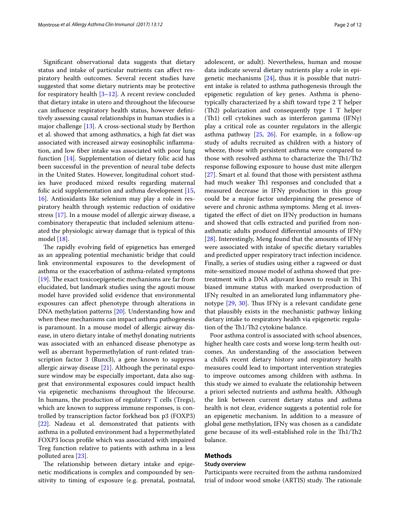Significant observational data suggests that dietary status and intake of particular nutrients can affect respiratory health outcomes. Several recent studies have suggested that some dietary nutrients may be protective for respiratory health [[3–](#page-9-2)[12](#page-10-0)]. A recent review concluded that dietary intake in utero and throughout the lifecourse can influence respiratory health status, however definitively assessing causal relationships in human studies is a major challenge [[13\]](#page-10-1). A cross-sectional study by Berthon et al. showed that among asthmatics, a high fat diet was associated with increased airway eosinophilic inflammation, and low fiber intake was associated with poor lung function [\[14](#page-10-2)]. Supplementation of dietary folic acid has been successful in the prevention of neural tube defects in the United States. However, longitudinal cohort studies have produced mixed results regarding maternal folic acid supplementation and asthma development [\[15](#page-10-3), [16\]](#page-10-4). Antioxidants like selenium may play a role in respiratory health through systemic reduction of oxidative stress [\[17](#page-10-5)]. In a mouse model of allergic airway disease, a combinatory therapeutic that included selenium attenuated the physiologic airway damage that is typical of this model [[18\]](#page-10-6).

The rapidly evolving field of epigenetics has emerged as an appealing potential mechanistic bridge that could link environmental exposures to the development of asthma or the exacerbation of asthma-related symptoms [[19\]](#page-10-7). The exact toxicoepigenetic mechanisms are far from elucidated, but landmark studies using the agouti mouse model have provided solid evidence that environmental exposures can affect phenotype through alterations in DNA methylation patterns [[20\]](#page-10-8). Understanding how and when these mechanisms can impact asthma pathogenesis is paramount. In a mouse model of allergic airway disease, in utero dietary intake of methyl donating nutrients was associated with an enhanced disease phenotype as well as aberrant hypermethylation of runt-related transcription factor 3 (Runx3), a gene known to suppress allergic airway disease [\[21](#page-10-9)]. Although the perinatal exposure window may be especially important, data also suggest that environmental exposures could impact health via epigenetic mechanisms throughout the lifecourse. In humans, the production of regulatory T cells (Tregs), which are known to suppress immune responses, is controlled by transcription factor forkhead box p3 (FOXP3) [[22\]](#page-10-10). Nadeau et al. demonstrated that patients with asthma in a polluted environment had a hypermethylated FOXP3 locus profile which was associated with impaired Treg function relative to patients with asthma in a less polluted area [[23\]](#page-10-11).

The relationship between dietary intake and epigenetic modifications is complex and compounded by sensitivity to timing of exposure (e.g. prenatal, postnatal, adolescent, or adult). Nevertheless, human and mouse data indicate several dietary nutrients play a role in epigenetic mechanisms  $[24]$  $[24]$ , thus it is possible that nutrient intake is related to asthma pathogenesis through the epigenetic regulation of key genes. Asthma is phenotypically characterized by a shift toward type 2 T helper (Th2) polarization and consequently type 1 T helper (Th1) cell cytokines such as interferon gamma (IFNγ) play a critical role as counter regulators in the allergic asthma pathway [[25,](#page-10-13) [26\]](#page-10-14). For example, in a follow-up study of adults recruited as children with a history of wheeze, those with persistent asthma were compared to those with resolved asthma to characterize the Th1/Th2 response following exposure to house dust mite allergen [[27\]](#page-10-15). Smart et al. found that those with persistent asthma had much weaker Th1 responses and concluded that a measured decrease in IFNγ production in this group could be a major factor underpinning the presence of severe and chronic asthma symptoms. Meng et al. investigated the effect of diet on IFNγ production in humans and showed that cells extracted and purified from nonasthmatic adults produced differential amounts of IFNγ [[28\]](#page-10-16). Interestingly, Meng found that the amounts of IFNγ were associated with intake of specific dietary variables and predicted upper respiratory tract infection incidence. Finally, a series of studies using either a ragweed or dust mite-sensitized mouse model of asthma showed that pretreatment with a DNA adjuvant known to result in Th1 biased immune status with marked overproduction of IFNγ resulted in an ameliorated lung inflammatory phenotype [[29,](#page-10-17) [30](#page-10-18)]. Thus IFNγ is a relevant candidate gene that plausibly exists in the mechanistic pathway linking dietary intake to respiratory health via epigenetic regulation of the Th1/Th2 cytokine balance.

Poor asthma control is associated with school absences, higher health care costs and worse long-term health outcomes. An understanding of the association between a child's recent dietary history and respiratory health measures could lead to important intervention strategies to improve outcomes among children with asthma. In this study we aimed to evaluate the relationship between a priori selected nutrients and asthma health. Although the link between current dietary status and asthma health is not clear, evidence suggests a potential role for an epigenetic mechanism. In addition to a measure of global gene methylation, IFNγ was chosen as a candidate gene because of its well-established role in the Th1/Th2 balance.

## **Methods**

#### **Study overview**

Participants were recruited from the asthma randomized trial of indoor wood smoke (ARTIS) study. The rationale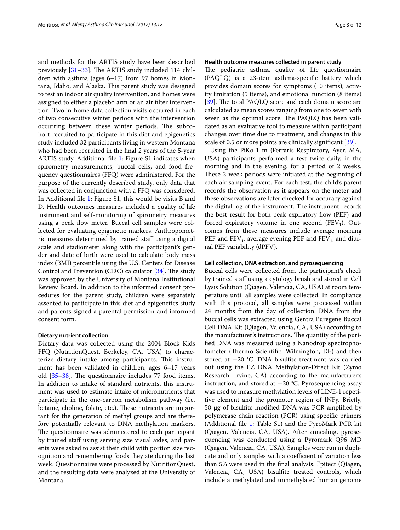and methods for the ARTIS study have been described previously [\[31](#page-10-19)[–33](#page-10-20)]. The ARTIS study included 114 children with asthma (ages 6–17) from 97 homes in Montana, Idaho, and Alaska. This parent study was designed to test an indoor air quality intervention, and homes were assigned to either a placebo arm or an air filter intervention. Two in-home data collection visits occurred in each of two consecutive winter periods with the intervention occurring between these winter periods. The subcohort recruited to participate in this diet and epigenetics study included 32 participants living in western Montana who had been recruited in the final 2 years of the 5-year ARTIS study. Additional file [1](#page-9-3): Figure S1 indicates when spirometry measurements, buccal cells, and food frequency questionnaires (FFQ) were administered. For the purpose of the currently described study, only data that was collected in conjunction with a FFQ was considered. In Additional file [1](#page-9-3): Figure S1, this would be visits B and D. Health outcomes measures included a quality of life instrument and self-monitoring of spirometry measures using a peak flow meter. Buccal cell samples were collected for evaluating epigenetic markers. Anthropometric measures determined by trained staff using a digital scale and stadiometer along with the participant's gender and date of birth were used to calculate body mass index (BMI) percentile using the U.S. Centers for Disease Control and Prevention (CDC) calculator [[34\]](#page-10-21). The study was approved by the University of Montana Institutional Review Board. In addition to the informed consent procedures for the parent study, children were separately assented to participate in this diet and epigenetics study and parents signed a parental permission and informed consent form.

## **Dietary nutrient collection**

Dietary data was collected using the 2004 Block Kids FFQ (NutritionQuest, Berkeley, CA, USA) to characterize dietary intake among participants. This instrument has been validated in children, ages 6–17 years old [[35–](#page-10-22)[38](#page-10-23)]. The questionnaire includes 77 food items. In addition to intake of standard nutrients, this instrument was used to estimate intake of micronutrients that participate in the one-carbon metabolism pathway (i.e. betaine, choline, folate, etc.). These nutrients are important for the generation of methyl groups and are therefore potentially relevant to DNA methylation markers. The questionnaire was administered to each participant by trained staff using serving size visual aides, and parents were asked to assist their child with portion size recognition and remembering foods they ate during the last week. Questionnaires were processed by NutritionQuest, and the resulting data were analyzed at the University of Montana.

## **Health outcome measures collected in parent study**

The pediatric asthma quality of life questionnaire (PAQLQ) is a 23-item asthma-specific battery which provides domain scores for symptoms (10 items), activity limitation (5 items), and emotional function (8 items) [[39\]](#page-10-24). The total PAQLQ score and each domain score are calculated as mean scores ranging from one to seven with seven as the optimal score. The PAQLQ has been validated as an evaluative tool to measure within participant changes over time due to treatment, and changes in this scale of 0.5 or more points are clinically significant [[39\]](#page-10-24).

Using the PiKo-1 m (Ferraris Respiratory, Ayer, MA, USA) participants performed a test twice daily, in the morning and in the evening, for a period of 2 weeks. These 2-week periods were initiated at the beginning of each air sampling event. For each test, the child's parent records the observation as it appears on the meter and these observations are later checked for accuracy against the digital log of the instrument. The instrument records the best result for both peak expiratory flow (PEF) and forced expiratory volume in one second  $(FEV_1)$ . Outcomes from these measures include average morning PEF and  $FEV_1$ , average evening PEF and  $FEV_1$ , and diurnal PEF variability (dPFV).

## **Cell collection, DNA extraction, and pyrosequencing**

Buccal cells were collected from the participant's cheek by trained staff using a cytology brush and stored in Cell Lysis Solution (Qiagen, Valencia, CA, USA) at room temperature until all samples were collected. In compliance with this protocol, all samples were processed within 24 months from the day of collection. DNA from the buccal cells was extracted using Gentra Puregene Buccal Cell DNA Kit (Qiagen, Valencia, CA, USA) according to the manufacturer's instructions. The quantity of the purified DNA was measured using a Nanodrop spectrophotometer (Thermo Scientific, Wilmington, DE) and then stored at −20 °C. DNA bisulfite treatment was carried out using the EZ DNA Methylation-Direct Kit (Zymo Research, Irvine, CA) according to the manufacturer's instruction, and stored at −20 °C. Pyrosequencing assay was used to measure methylation levels of LINE-1 repetitive element and the promoter region of INFγ. Briefly, 50 µg of bisulfite-modified DNA was PCR amplified by polymerase chain reaction (PCR) using specific primers (Additional file [1](#page-9-3): Table S1) and the PyroMark PCR kit (Qiagen, Valencia, CA, USA). After annealing, pyrosequencing was conducted using a Pyromark Q96 MD (Qiagen, Valencia, CA, USA). Samples were run in duplicate and only samples with a coefficient of variation less than 5% were used in the final analysis. Epitect (Qiagen, Valencia, CA, USA) bisulfite treated controls, which include a methylated and unmethylated human genome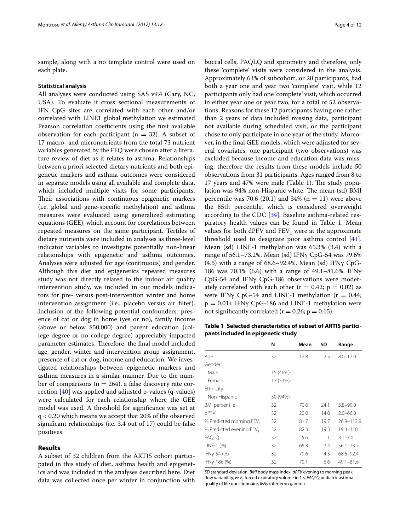sample, along with a no template control were used on each plate.

#### **Statistical analysis**

All analyses were conducted using SAS v9.4 (Cary, NC, USA). To evaluate if cross sectional measurements of IFN CpG sites are correlated with each other and/or correlated with LINE1 global methylation we estimated Pearson correlation coefficients using the first available observation for each participant ( $n = 32$ ). A subset of 17 macro- and micronutrients from the total 73 nutrient variables generated by the FFQ were chosen after a literature review of diet as it relates to asthma. Relationships between a priori selected dietary nutrients and both epigenetic markers and asthma outcomes were considered in separate models using all available and complete data, which included multiple visits for some participants. Their associations with continuous epigenetic markers (i.e. global and gene-specific methylation) and asthma measures were evaluated using generalized estimating equations (GEE), which account for correlations between repeated measures on the same participant. Tertiles of dietary nutrients were included in analyses as three-level indicator variables to investigate potentially non-linear relationships with epigenetic and asthma outcomes. Analyses were adjusted for age (continuous) and gender. Although this diet and epigenetics repeated measures study was not directly related to the indoor air quality intervention study, we included in our models indicators for pre- versus post-intervention winter and home intervention assignment (i.e., placebo versus air filter). Inclusion of the following potential confounders: presence of cat or dog in home (yes or no), family income (above or below \$50,000) and parent education (college degree or no college degree) appreciably impacted parameter estimates. Therefore, the final model included age, gender, winter and intervention group assignment, presence of cat or dog, income and education. We investigated relationships between epigenetic markers and asthma measures in a similar manner. Due to the number of comparisons ( $n = 264$ ), a false discovery rate correction [[40\]](#page-10-25) was applied and adjusted p-values (q-values) were calculated for each relationship where the GEE model was used. A threshold for significance was set at q < 0.20 which means we accept that 20% of the observed significant relationships (i.e. 3.4 out of 17) could be false positives.

#### **Results**

A subset of 32 children from the ARTIS cohort participated in this study of diet, asthma health and epigenetics and was included in the analyses described here. Diet data was collected once per winter in conjunction with buccal cells, PAQLQ and spirometry and therefore, only these 'complete' visits were considered in the analysis. Approximately 63% of subcohort, or 20 participants, had both a year one and year two 'complete' visit, while 12 participants only had one 'complete' visit, which occurred in either year one or year two, for a total of 52 observations. Reasons for these 12 participants having one rather than 2 years of data included missing data, participant not available during scheduled visit, or the participant chose to only participate in one year of the study. Moreover, in the final GEE models, which were adjusted for several covariates, one participant (two observations) was excluded because income and education data was missing, therefore the results from these models include 50 observations from 31 participants. Ages ranged from 8 to 17 years and 47% were male (Table [1\)](#page-3-0). The study population was 94% non-Hispanic white. The mean (sd) BMI percentile was 70.6 (20.1) and 34% ( $n = 11$ ) were above the 85th percentile, which is considered overweight according to the CDC [[34\]](#page-10-21). Baseline asthma-related res-piratory health values can be found in Table [1](#page-3-0). Mean values for both dPFV and  $FEV<sub>1</sub>$  were at the approximate threshold used to designate poor asthma control [\[41](#page-10-26)]. Mean (sd) LINE-1 methylation was 65.3% (3.4) with a range of 56.1–73.2%. Mean (sd) IFNγ CpG-54 was 79.6% (4.5) with a range of 68.6–92.4%. Mean (sd) IFNγ CpG-186 was 70.1% (6.6) with a range of 49.1–81.6%. IFNγ CpG-54 and IFNγ CpG-186 observations were moderately correlated with each other ( $r = 0.42$ ;  $p = 0.02$ ) as were IFN $\gamma$  CpG-54 and LINE-1 methylation ( $r = 0.44$ ;  $p = 0.01$ ). IFN $\gamma$  CpG-186 and LINE-1 methylation were not significantly correlated ( $r = 0.26$ ;  $p = 0.15$ ).

<span id="page-3-0"></span>**Table 1 Selected characteristics of subset of ARTIS participants included in epigenetic study**

|                                      | N        | Mean | SD   | Range          |
|--------------------------------------|----------|------|------|----------------|
| Age                                  | 32       | 12.8 | 2.5  | $8.0 - 17.0$   |
| Gender                               |          |      |      |                |
| Male                                 | 15 (46%) |      |      |                |
| Female                               | 17 (53%) |      |      |                |
| Ethnicity                            |          |      |      |                |
| Non-Hispanic                         | 30 (94%) |      |      |                |
| <b>BMI</b> percentile                | 32       | 70.6 | 24.1 | $5.8 - 99.0$   |
| dPFV                                 | 32       | 20.0 | 14.0 | $2.0 - 66.0$   |
| % Predicted morning FEV <sub>1</sub> | 32       | 81.7 | 19.7 | 26.9-112.9     |
| % Predicted evening FEV <sub>1</sub> | 32       | 82.3 | 19.3 | $19.3 - 110.1$ |
| PAQLQ                                | 32       | 5.6  | 1.1  | $3.1 - 7.0$    |
| LINE-1 (%)                           | 32       | 65.3 | 3.4  | $56.1 - 73.2$  |
| IFNy-54 (%)                          | 32       | 79.6 | 4.5  | 68.6-92.4      |
| IFNy-186 (%)                         | 32       | 70.1 | 6.6  | $49.1 - 81.6$  |

*SD* standard deviation, *BMI* body mass index, *dPFV* evening to morning peak flow variability, *FEV*, forced expiratory volume in 1 s, *PAQLQ* pediatric asthma quality of life questionnaire, *IFNγ* interferon gamma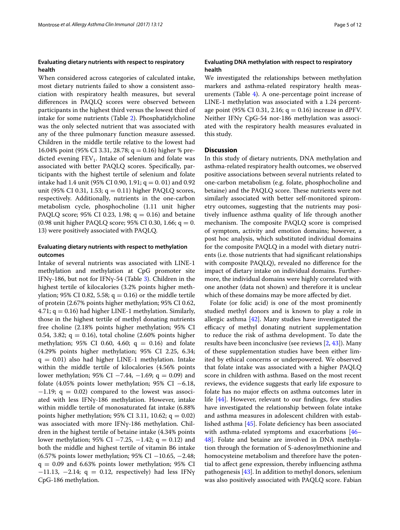## **Evaluating dietary nutrients with respect to respiratory health**

When considered across categories of calculated intake, most dietary nutrients failed to show a consistent association with respiratory health measures, but several differences in PAQLQ scores were observed between participants in the highest third versus the lowest third of intake for some nutrients (Table [2\)](#page-5-0). Phosphatidylcholine was the only selected nutrient that was associated with any of the three pulmonary function measure assessed. Children in the middle tertile relative to the lowest had 16.04% point (95% CI 3.31, 28.78; q = 0.16) higher % predicted evening  $FEV<sub>1</sub>$ . Intake of selenium and folate was associated with better PAQLQ scores. Specifically, participants with the highest tertile of selenium and folate intake had 1.4 unit (95% CI 0.90, 1.91;  $q = 0.01$ ) and 0.92 unit (95% CI 0.31, 1.53;  $q = 0.11$ ) higher PAQLQ scores, respectively. Additionally, nutrients in the one-carbon metabolism cycle, phosphocholine (1.11 unit higher PAQLQ score; 95% CI 0.23, 1.98;  $q = 0.16$ ) and betaine (0.98 unit higher PAQLQ score; 95% CI 0.30, 1.66;  $q = 0$ . 13) were positively associated with PAQLQ.

## **Evaluating dietary nutrients with respect to methylation outcomes**

Intake of several nutrients was associated with LINE-1 methylation and methylation at CpG promoter site IFNγ-186, but not for IFNγ-54 (Table [3](#page-7-0)). Children in the highest tertile of kilocalories (3.2% points higher methylation; 95% CI 0.82, 5.58;  $q = 0.16$ ) or the middle tertile of protein (2.67% points higher methylation; 95% CI 0.62, 4.71;  $q = 0.16$ ) had higher LINE-1 methylation. Similarly, those in the highest tertile of methyl donating nutrients free choline (2.18% points higher methylation; 95% CI 0.54, 3.82;  $q = 0.16$ ), total choline (2.60% points higher methylation; 95% CI 0.60, 4.60;  $q = 0.16$ ) and folate (4.29% points higher methylation; 95% CI 2.25, 6.34;  $q = 0.01$ ) also had higher LINE-1 methylation. Intake within the middle tertile of kilocalories (4.56% points lower methylation; 95% CI −7.44, −1.69; q = 0.09) and folate (4.05% points lower methylation; 95% CI  $-6.18$ ,  $-1.19$ ; q = 0.02) compared to the lowest was associated with less IFNγ-186 methylation. However, intake within middle tertile of monosaturated fat intake (6.88% points higher methylation; 95% CI 3.11, 10.62;  $q = 0.02$ ) was associated with more IFNγ-186 methylation. Children in the highest tertile of betaine intake (4.34% points lower methylation; 95% CI −7.25, −1.42; q = 0.12) and both the middle and highest tertile of vitamin B6 intake (6.57% points lower methylation; 95% CI −10.65, −2.48;  $q = 0.09$  and 6.63% points lower methylation; 95% CI  $-11.13$ ,  $-2.14$ ; q = 0.12, respectively) had less IFNy CpG-186 methylation.

## **Evaluating DNA methylation with respect to respiratory health**

We investigated the relationships between methylation markers and asthma-related respiratory health measurements (Table [4](#page-8-0)). A one-percentage point increase of LINE-1 methylation was associated with a 1.24 percentage point (95% CI 0.31, 2.16;  $q = 0.16$ ) increase in dPFV. Neither IFNγ CpG-54 nor-186 methylation was associated with the respiratory health measures evaluated in this study.

## **Discussion**

In this study of dietary nutrients, DNA methylation and asthma-related respiratory health outcomes, we observed positive associations between several nutrients related to one-carbon metabolism (e.g. folate, phosphocholine and betaine) and the PAQLQ score. These nutrients were not similarly associated with better self-monitored spirometry outcomes, suggesting that the nutrients may positively influence asthma quality of life through another mechanism. The composite PAQLQ score is comprised of symptom, activity and emotion domains; however, a post hoc analysis, which substituted individual domains for the composite PAQLQ in a model with dietary nutrients (i.e. those nutrients that had significant relationships with composite PAQLQ), revealed no difference for the impact of dietary intake on individual domains. Furthermore, the individual domains were highly correlated with one another (data not shown) and therefore it is unclear which of these domains may be more affected by diet.

Folate (or folic acid) is one of the most prominently studied methyl donors and is known to play a role in allergic asthma [[42\]](#page-10-27). Many studies have investigated the efficacy of methyl donating nutrient supplementation to reduce the risk of asthma development. To date the results have been inconclusive (see reviews [\[2,](#page-9-1) [43](#page-10-28)]). Many of these supplementation studies have been either limited by ethical concerns or underpowered. We observed that folate intake was associated with a higher PAQLQ score in children with asthma. Based on the most recent reviews, the evidence suggests that early life exposure to folate has no major effects on asthma outcomes later in life [\[44](#page-10-29)]. However, relevant to our findings, few studies have investigated the relationship between folate intake and asthma measures in adolescent children with established asthma [[45](#page-10-30)]. Folate deficiency has been associated with asthma-related symptoms and exacerbations [[46–](#page-10-31) [48\]](#page-10-32). Folate and betaine are involved in DNA methylation through the formation of S-adenosylmethionine and homocysteine metabolism and therefore have the potential to affect gene expression, thereby influencing asthma pathogenesis [[43\]](#page-10-28). In addition to methyl donors, selenium was also positively associated with PAQLQ score. Fabian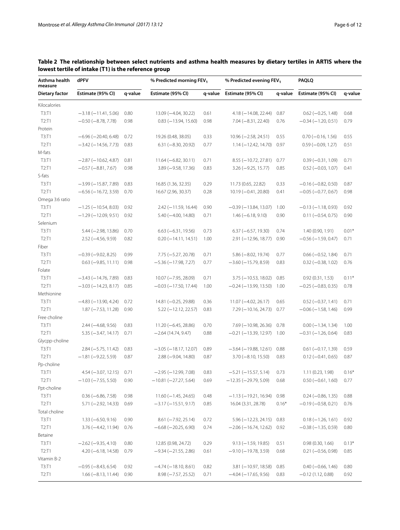| Asthma health<br>dPFV<br>measure |                             |         | % Predicted morning FEV <sub>1</sub> |         | % Predicted evening FEV <sub>1</sub> |         | PAQLQ                     |         |  |
|----------------------------------|-----------------------------|---------|--------------------------------------|---------|--------------------------------------|---------|---------------------------|---------|--|
| <b>Dietary factor</b>            | Estimate (95% CI)           | q-value | Estimate (95% CI)                    | q-value | Estimate (95% CI)                    | q-value | Estimate (95% CI)         | q-value |  |
| Kilocalories                     |                             |         |                                      |         |                                      |         |                           |         |  |
| T3:TT1                           | $-3.18(-11.41, 5.06)$       | 0.80    | 13.09 (-4.04, 30.22)                 | 0.61    | $4.18 (-14.08, 22.44)$               | 0.87    | $0.62 (-0.25, 1.48)$      | 0.68    |  |
| T2: T1                           | $-0.50$ ( $-8.78$ , 7.78)   | 0.98    | $0.83 (-13.94, 15.60)$               | 0.98    | $7.04 (-8.31, 22.40)$                | 0.76    | $-0.34(-1.20, 0.51)$      | 0.79    |  |
| Protein                          |                             |         |                                      |         |                                      |         |                           |         |  |
| T3: T1                           | $-6.96 (-20.40, 6.48)$      | 0.72    | 19.26 (0.48, 38.05)                  | 0.33    | $10.96 (-2.58, 24.51)$               | 0.55    | $0.70 (-0.16, 1.56)$      | 0.55    |  |
| T2: T1                           | $-3.42$ ( $-14.56$ , 7.73)  | 0.83    | $6.31 (-8.30, 20.92)$                | 0.77    | $1.14 (-12.42, 14.70)$               | 0.97    | $0.59(-0.09, 1.27)$       | 0.51    |  |
| M-fats                           |                             |         |                                      |         |                                      |         |                           |         |  |
| T3:TT1                           | $-2.87$ ( $-10.62$ , 4.87)  | 0.81    | $11.64 (-6.82, 30.11)$               | 0.71    | $8.55 (-10.72, 27.81)$               | 0.77    | $0.39(-0.31, 1.09)$       | 0.71    |  |
| T2: T1                           | $-0.57$ ( $-8.81$ , 7.67)   | 0.98    | $3.89 (-9.58, 17.36)$                | 0.83    | $3.26 (-9.25, 15.77)$                | 0.85    | $0.52 (-0.03, 1.07)$      | 0.41    |  |
| S-fats                           |                             |         |                                      |         |                                      |         |                           |         |  |
| T3: T1                           | $-3.99(-15.87, 7.89)$       | 0.83    | 16.85 (1.36, 32.35)                  | 0.29    | 11.73 (0.65, 22.82)                  | 0.33    | $-0.16 (-0.82, 0.50)$     | 0.87    |  |
| T2: T1                           | $-6.56$ ( $-16.72$ , 3.59)  | 0.70    | 16.67 (2.96, 30.37)                  | 0.28    | $10.19 (-0.41, 20.80)$               | 0.41    | $-0.05$ ( $-0.77$ , 0.67) | 0.98    |  |
| Omega 3:6 ratio                  |                             |         |                                      |         |                                      |         |                           |         |  |
| T3: T1                           | $-1.25$ ( $-10.54$ , 8.03)  | 0.92    | $2.42 (-11.59, 16.44)$               | 0.90    | $-0.39(-13.84, 13.07)$               | 1.00    | $-0.13(-1.18, 0.93)$      | 0.92    |  |
| T2: T1                           | $-1.29(-12.09, 9.51)$       | 0.92    | $5.40 (-4.00, 14.80)$                | 0.71    | $1.46 (-6.18, 9.10)$                 | 0.90    | $0.11 (-0.54, 0.75)$      | 0.90    |  |
| Selenium                         |                             |         |                                      |         |                                      |         |                           |         |  |
| T3:T1                            | $5.44 (-2.98, 13.86)$       | 0.70    | $6.63 (-6.31, 19.56)$                | 0.73    | $6.37 (-6.57, 19.30)$                | 0.74    | 1.40 (0.90, 1.91)         | $0.01*$ |  |
| T2: T1                           | $2.52$ ( $-4.56$ , $9.59$ ) | 0.82    | $0.20 (-14.11, 14.51)$               | 1.00    | $2.91 (-12.96, 18.77)$               | 0.90    | $-0.56$ ( $-1.59$ , 0.47) | 0.71    |  |
| Fiber                            |                             |         |                                      |         |                                      |         |                           |         |  |
| T3:T1                            | $-0.39(-9.02, 8.25)$        | 0.99    | $7.75 (-5.27, 20.78)$                | 0.71    | $5.86 (-8.02, 19.74)$                | 0.77    | $0.66 (-0.52, 1.84)$      | 0.71    |  |
| T2: T1                           | $0.63$ ( $-9.85$ , 11.11)   | 0.98    | $-5.36(-17.98, 7.27)$                | 0.77    | $-3.60$ ( $-15.79$ , 8.59)           | 0.83    | $0.32 (-0.38, 1.02)$      | 0.76    |  |
| Folate                           |                             |         |                                      |         |                                      |         |                           |         |  |
| T3:T1                            | $-3.43 (-14.76, 7.89)$      | 0.83    | $10.07 (-7.95, 28.09)$               | 0.71    | $3.75 (-10.53, 18.02)$               | 0.85    | 0.92(0.31, 1.53)          | $0.11*$ |  |
| T2: T1                           | $-3.03$ ( $-14.23$ , 8.17)  | 0.85    | $-0.03$ ( $-17.50$ , 17.44)          | 1.00    | $-0.24 (-13.99, 13.50)$              | 1.00    | $-0.25$ ( $-0.83$ , 0.35) | 0.78    |  |
| Methionine                       |                             |         |                                      |         |                                      |         |                           |         |  |
| T3:TT1                           | $-4.83$ ( $-13.90$ , 4.24)  | 0.72    | $14.81 (-0.25, 29.88)$               | 0.36    | $11.07 (-4.02, 26.17)$               | 0.65    | $0.52 (-0.37, 1.41)$      | 0.71    |  |
| T2: T1                           | $1.87 (-7.53, 11.28)$       | 0.90    | $5.22 (-12.12, 22.57)$               | 0.83    | $7.29 (-10.16, 24.73)$               | 0.77    | $-0.06$ ( $-1.58$ , 1.46) | 0.99    |  |
| Free choline                     |                             |         |                                      |         |                                      |         |                           |         |  |
| T3:T1                            | $2.44 (-4.68, 9.56)$        | 0.83    | $11.20 (-6.45, 28.86)$               | 0.70    | $7.69$ ( $-10.98$ , 26.36)           | 0.78    | $0.00 (-1.34, 1.34)$      | 1.00    |  |
| T2: T1                           | $5.35 (-3.47, 14.17)$       | 0.71    | $-2.64(14.74, 9.47)$                 | 0.88    | $-0.21$ ( $-13.39$ , 12.97)          | 1.00    | $-0.31 (-1.26, 0.64)$     | 0.83    |  |
| Glycpp-choline                   |                             |         |                                      |         |                                      |         |                           |         |  |
| T3:T1                            | $2.84 (-5.75, 11.42)$       | 0.83    | $-3.05$ ( $-18.17$ , 12.07)          | 0.89    | $-3.64 (-19.88, 12.61)$              | 0.88    | $0.61 (-0.17, 1.39)$      | 0.59    |  |
| T2:T1                            | $-1.81 (-9.22, 5.59)$       | 0.87    | $2.88 (-9.04, 14.80)$                | 0.87    | $3.70 (-8.10, 15.50)$                | 0.83    | $0.12 (-0.41, 0.65)$      | 0.87    |  |
| Pp-choline                       |                             |         |                                      |         |                                      |         |                           |         |  |
| T3:T1                            | $4.54 (-3.07, 12.15)$ 0.71  |         | $-2.95 (-12.99, 7.08)$               | 0.83    | $-5.21 (-15.57, 5.14)$               | 0.73    | 1.11 (0.23, 1.98)         | $0.16*$ |  |
| T2: T1                           | $-1.03$ ( $-7.55$ , 5.50)   | 0.90    | $-10.81 (-27.27, 5.64)$              | 0.69    | $-12.35 (-29.79, 5.09)$              | 0.68    | $0.50 (-0.61, 1.60)$      | 0.77    |  |
| Ppt-choline                      |                             |         |                                      |         |                                      |         |                           |         |  |
| T3:T1                            | $0.36 (-6.86, 7.58)$        | 0.98    | $11.60(-1.45, 24.65)$                | 0.48    | $-1.13(-19.21, 16.94)$               | 0.98    | $0.24 (-0.86, 1.35)$      | 0.88    |  |
| T2: T1                           | $5.71 (-2.92, 14.33)$       | 0.69    | $-3.17(-15.51, 9.17)$                | 0.85    | 16.04 (3.31, 28.78)                  | $0.16*$ | $-0.19(-0.58, 0.21)$      | 0.76    |  |
| Total choline                    |                             |         |                                      |         |                                      |         |                           |         |  |
| T3:T1                            | $1.33 (-6.50, 9.16)$        | 0.90    | $8.61 (-7.92, 25.14)$                | 0.72    | $5.96 (-12.23, 24.15)$               | 0.83    | $0.18 (-1.26, 1.61)$      | 0.92    |  |
| T2: T1                           | $3.76 (-4.42, 11.94)$       | 0.76    | $-6.68$ ( $-20.25$ , 6.90)           | 0.74    | $-2.06$ ( $-16.74$ , 12.62)          | 0.92    | $-0.38(-1.35, 0.59)$      | 0.80    |  |
| Betaine                          |                             |         |                                      |         |                                      |         |                           |         |  |
| T3:T1                            | $-2.62$ ( $-9.35$ , 4.10)   | 0.80    | 12.85 (0.98, 24.72)                  | 0.29    | $9.13 (-1.59, 19.85)$                | 0.51    | 0.98(0.30, 1.66)          | $0.13*$ |  |
| T2: T1                           | $4.20 (-6.18, 14.58)$       | 0.79    | $-9.34 (-21.55, 2.86)$               | 0.61    | $-9.10 (-19.78, 3.59)$               | 0.68    | $0.21 (-0.56, 0.98)$      | 0.85    |  |
| Vitamin B-2                      |                             |         |                                      |         |                                      |         |                           |         |  |
| T3:T1                            | $-0.95 (-8.43, 6.54)$       | 0.92    | $-4.74(-18.10, 8.61)$                | 0.82    | $3.81 (-10.97, 18.58)$               | 0.85    | $0.40 (-0.66, 1.46)$      | 0.80    |  |
| T2: T1                           | $1.66 (-8.13, 11.44)$       | 0.90    | $8.98 (-7.57, 25.52)$                | 0.71    | $-4.04$ ( $-17.65$ , 9.56)           | 0.83    | $-0.12(1.12, 0.88)$       | 0.92    |  |

# <span id="page-5-0"></span>**Table 2 The relationship between select nutrients and asthma health measures by dietary tertiles in ARTIS where the lowest tertile of intake (T1) is the reference group**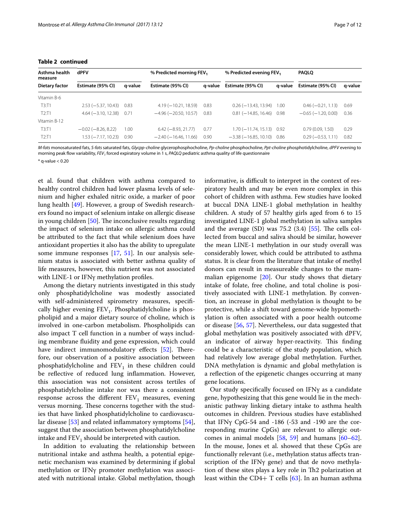| Asthma health<br>dPFV<br>measure |                           |         | % Predicted morning FEV,    |         | % Predicted evening FEV <sub>1</sub> |         | <b>PAQLQ</b>              |         |
|----------------------------------|---------------------------|---------|-----------------------------|---------|--------------------------------------|---------|---------------------------|---------|
| Dietary factor                   | Estimate (95% CI)         | q-value | Estimate (95% CI)           | a-value | Estimate (95% CI)                    | a-value | Estimate (95% CI)         | q-value |
| Vitamin B-6                      |                           |         |                             |         |                                      |         |                           |         |
| T3:TT1                           | $2.53 (-5.37, 10.43)$     | 0.83    | $4.19(-10.21, 18.59)$       | 0.83    | $0.26$ ( $-13.43$ , 13.94)           | 1.00    | $0.46 (-0.21, 1.13)$      | 0.69    |
| T2: T1                           | $4.64 (-3.10, 12.38)$     | 0.71    | $-4.96$ ( $-20.50$ , 10.57) | 0.83    | $0.81 (-14.85, 16.46)$               | 0.98    | $-0.65$ ( $-1.20, 0.00$ ) | 0.36    |
| Vitamin B-12                     |                           |         |                             |         |                                      |         |                           |         |
| T3:TT                            | $-0.02$ ( $-8.26$ , 8.22) | 1.00    | $6.42 (-8.93, 21.77)$       | 0.77    | $1.70 (-11.74, 15.13)$ 0.92          |         | 0.79(0.09, 1.50)          | 0.29    |
| T2:11                            | 1.53 (-7.17, 10.23)       | 0.90    | $-2.40$ ( $-16.46$ , 11.66) | 0.90    | $-3.38(-16.85, 10.10)$               | 0.86    | $0.29(-0.53, 1.11)$       | 0.82    |

## **Table 2 continued**

*M-fats* monosaturated fats, *S-fats* saturated fats, *Glycpp-choline* glycerophosphocholine, *Pp-choline* phosphocholine, *Ppt-choline* phosphotidylcholine, *dPFV* evening to morning peak flow variability, *FEV1* forced expiratory volume in 1 s, *PAQLQ* pediatric asthma quality of life questionnaire

 $*$  g-value  $< 0.20$ 

et al. found that children with asthma compared to healthy control children had lower plasma levels of selenium and higher exhaled nitric oxide, a marker of poor lung health [[49\]](#page-10-33). However, a group of Swedish researchers found no impact of selenium intake on allergic disease in young children [[50\]](#page-10-34). The inconclusive results regarding the impact of selenium intake on allergic asthma could be attributed to the fact that while selenium does have antioxidant properties it also has the ability to upregulate some immune responses [[17](#page-10-5), [51\]](#page-10-35). In our analysis selenium status is associated with better asthma quality of life measures, however, this nutrient was not associated with LINE-1 or IFNγ methylation profiles.

Among the dietary nutrients investigated in this study only phosphatidylcholine was modestly associated with self-administered spirometry measures, specifically higher evening  $FEV<sub>1</sub>$ . Phosphatidylcholine is phospholipid and a major dietary source of choline, which is involved in one-carbon metabolism. Phospholipids can also impact T cell function in a number of ways including membrane fluidity and gene expression, which could have indirect immunomodulatory effects [[52](#page-10-36)]. Therefore, our observation of a positive association between phosphatidylcholine and  $FEV<sub>1</sub>$  in these children could be reflective of reduced lung inflammation. However, this association was not consistent across tertiles of phosphatidylcholine intake nor was there a consistent response across the different  $FEV<sub>1</sub>$  measures, evening versus morning. These concerns together with the studies that have linked phosphatidylcholine to cardiovascular disease [\[53\]](#page-10-37) and related inflammatory symptoms [\[54](#page-10-38)], suggest that the association between phosphatidylcholine intake and  $FEV<sub>1</sub>$  should be interpreted with caution.

In addition to evaluating the relationship between nutritional intake and asthma health, a potential epigenetic mechanism was examined by determining if global methylation or IFNγ promoter methylation was associated with nutritional intake. Global methylation, though

informative, is difficult to interpret in the context of respiratory health and may be even more complex in this cohort of children with asthma. Few studies have looked at buccal DNA LINE-1 global methylation in healthy children. A study of 57 healthy girls aged from 6 to 15 investigated LINE-1 global methylation in saliva samples and the average  $(SD)$  was 75.2  $(3.4)$  [\[55\]](#page-10-39). The cells collected from buccal and saliva should be similar, however the mean LINE-1 methylation in our study overall was considerably lower, which could be attributed to asthma status. It is clear from the literature that intake of methyl donors can result in measureable changes to the mammalian epigenome [\[20](#page-10-8)]. Our study shows that dietary intake of folate, free choline, and total choline is positively associated with LINE-1 methylation. By convention, an increase in global methylation is thought to be protective, while a shift toward genome-wide hypomethylation is often associated with a poor health outcome or disease [[56](#page-10-40), [57](#page-10-41)]. Nevertheless, our data suggested that global methylation was positively associated with dPFV, an indicator of airway hyper-reactivity. This finding could be a characteristic of the study population, which had relatively low average global methylation. Further, DNA methylation is dynamic and global methylation is a reflection of the epigenetic changes occurring at many gene locations.

Our study specifically focused on IFNγ as a candidate gene, hypothesizing that this gene would lie in the mechanistic pathway linking dietary intake to asthma health outcomes in children. Previous studies have established that IFNγ CpG-54 and -186 (-53 and -190 are the corresponding murine CpGs) are relevant to allergic outcomes in animal models [\[58](#page-10-42), [59](#page-10-43)] and humans [[60](#page-10-44)[–62](#page-11-0)]. In the mouse, Jones et al. showed that these CpGs are functionally relevant (i.e., methylation status affects transcription of the IFNγ gene) and that de novo methylation of these sites plays a key role in Th2 polarization at least within the CD4+ T cells  $[63]$  $[63]$  $[63]$ . In an human asthma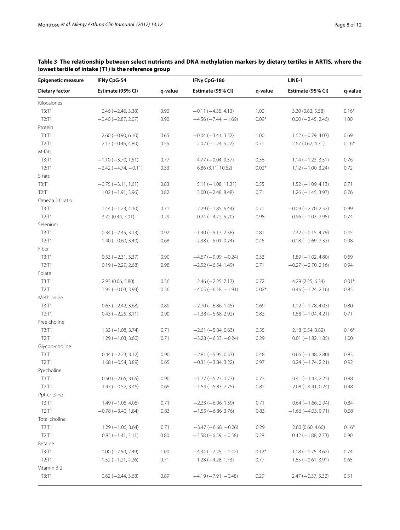| <b>Epigenetic measure</b> | IFNγ CpG-54               |         | IFNγ CpG-186                  |         | LINE-1                    |         |  |
|---------------------------|---------------------------|---------|-------------------------------|---------|---------------------------|---------|--|
| <b>Dietary factor</b>     | Estimate (95% CI)         | q-value | Estimate (95% CI)             | q-value | Estimate (95% CI)         | q-value |  |
| Kilocalories              |                           |         |                               |         |                           |         |  |
| T3:T1                     | $0.46 (-2.46, 3.38)$      | 0.90    | $-0.11 (-4.35, 4.13)$         | 1.00    | 3.20 (0.82, 5.58)         | $0.16*$ |  |
| T2:T1                     | $-0.40$ ( $-2.87$ , 2.07) | 0.90    | $-4.56(-7.44,-1.69)$          | $0.09*$ | $0.00 (-2.45, 2.46)$      | 1.00    |  |
| Protein                   |                           |         |                               |         |                           |         |  |
| T3:T1                     | $2.60 (-0.90, 6.10)$      | 0.65    | $-0.04 (-3.41, 3.32)$         | 1.00    | $1.62 (-0.79, 4.03)$      | 0.69    |  |
| T2: T1                    | $2.17 (-0.46, 4.80)$      | 0.55    | $2.02 (-1.24, 5.27)$          | 0.71    | 2.67 (0.62, 4.71)         | $0.16*$ |  |
| M-fats                    |                           |         |                               |         |                           |         |  |
| T3:T1                     | $-1.10 (-3.70, 1.51)$     | 0.77    | $4.77 (-0.04, 9.57)$          | 0.36    | $1.14 (-1.23, 3.51)$      | 0.76    |  |
| T2:T1                     | $-2.42(-4.74, -0.11)$     | 0.33    | 6.86(3.11, 10.62)             | $0.02*$ | $1.12 (-1.00, 3.24)$      | 0.72    |  |
| S-fats                    |                           |         |                               |         |                           |         |  |
| T3:T1                     | $-0.75(-3.11, 1.61)$      | 0.83    | $5.11 (-1.08, 11.31)$         | 0.55    | $1.52(-1.09, 4.13)$       | 0.71    |  |
| T2: T1                    | $1.02 (-1.91, 3.96)$      | 0.82    | $3.00 (-2.48, 8.48)$          | 0.71    | $1.26 (-1.45, 3.97)$      | 0.76    |  |
| Omega 3:6 ratio           |                           |         |                               |         |                           |         |  |
| T3:T1                     | $1.44 (-1.23, 4.10)$      | 0.71    | $2.29(-1.85, 6.44)$           | 0.71    | $-0.09$ ( $-2.70$ , 2.52) | 0.99    |  |
| T2:T1                     | 3.72 (0.44, 7.01)         | 0.29    | $0.24 (-4.72, 5.20)$          | 0.98    | $0.96 (-1.03, 2.95)$      | 0.74    |  |
| Selenium                  |                           |         |                               |         |                           |         |  |
| T3:T1                     | $0.34 (-2.45, 3.13)$      | 0.92    | $-1.40$ ( $-5.17$ , 2.38)     | 0.81    | $2.32 (-0.15, 4.79)$      | 0.45    |  |
| T2:T1                     | $1.40 (-0.60, 3.40)$      | 0.68    | $-2.38(-5.01, 0.24)$          | 0.45    | $-0.18$ ( $-2.69$ , 2.33) | 0.98    |  |
| Fiber                     |                           |         |                               |         |                           |         |  |
| T3:T1                     | $0.53 (-2.31, 3.37)$      | 0.90    | $-4.67$ ( $-9.09$ , $-0.24$ ) | 0.33    | $1.89(-1.02, 4.80)$       | 0.69    |  |
| T2:T1                     | $0.19 (-2.29, 2.68)$      | 0.98    | $-2.52(-6.54, 1.49)$          | 0.71    | $-0.27$ ( $-2.70$ , 2.16) | 0.94    |  |
| Folate                    |                           |         |                               |         |                           |         |  |
| T3:T1                     | 2.93 (0.06, 5.80)         | 0.36    | $2.46 (-2.25, 7.17)$          | 0.72    | 4.29 (2.25, 6.34)         | $0.01*$ |  |
| T2: T1                    | $1.95 (-0.03, 3.93)$      | 0.36    | $-4.05(-6.18,-1.91)$          | $0.02*$ | $0.46 (-1.24, 2.16)$      | 0.85    |  |
| Methionine                |                           |         |                               |         |                           |         |  |
| T3:T1                     | $0.63$ ( $-2.42$ , 3.68)  | 0.89    | $-2.70(-6.86, 1.45)$          | 0.69    | $1.12 (-1.78, 4.03)$      | 0.80    |  |
| T2: T1                    | $0.43 (-2.25, 3.11)$      | 0.90    | $-1.38(-5.68, 2.92)$          | 0.83    | $1.58(-1.04, 4.21)$       | 0.71    |  |
| Free choline              |                           |         |                               |         |                           |         |  |
| T3:T1                     | $1.33 (-1.08, 3.74)$      | 0.71    | $-2.61 (-5.84, 0.63)$         | 0.55    | 2.18 (0.54, 3.82)         | $0.16*$ |  |
| T2: T1                    | $1.29(-1.03, 3.60)$       | 0.71    | $-3.28(-6.33, -0.24)$         | 0.29    | $0.01 (-1.82, 1.85)$      | 1.00    |  |
| Glycpp-choline            |                           |         |                               |         |                           |         |  |
| T3:T1                     | $0.44 (-2.23, 3.12)$      | 0.90    | $-2.81 (-5.95, 0.33)$         | 0.48    | $0.66$ ( $-1.48$ , 2.80)  | 0.83    |  |
| T2: T1                    | $1.68 (-0.54, 3.89)$      | 0.65    | $-0.31 (-3.84, 3.22)$         | 0.97    | $0.24 (-1.74, 2.21)$      | 0.92    |  |
| Pp-choline                |                           |         |                               |         |                           |         |  |
| T3:T1                     | $0.50 (-2.65, 3.65)$      | 0.90    | $-1.77 (-5.27, 1.73)$         | 0.73    | $0.41 (-1.43, 2.25)$      | 0.88    |  |
| T2: T1                    | $1.47 (-0.52, 3.46)$      | 0.65    | $-1.54 (-5.83, 2.75)$         | 0.82    | $-2.08 (-4.41, 0.24)$     | 0.48    |  |
| Ppt-choline               |                           |         |                               |         |                           |         |  |
| T3:T1                     | $1.49(-1.08, 4.06)$       | 0.71    | $-2.33(-6.06, 1.39)$          | 0.71    | $0.64 (-1.66, 2.94)$      | 0.84    |  |
| T2:T1                     | $-0.78 (-3.40, 1.84)$     | 0.83    | $-1.55(-6.86, 3.76)$          | 0.83    | $-1.66(-4.03, 0.71)$      | 0.68    |  |
| Total choline             |                           |         |                               |         |                           |         |  |
| T3:T1                     | $1.29(-1.06, 3.64)$       | 0.71    | $-3.47(-6.68, -0.26)$         | 0.29    | 2.60 (0.60, 4.60)         | $0.16*$ |  |
| T2:T1                     | $0.85 (-1.41, 3.11)$      | 0.80    | $-3.58(-6.59, -0.58)$         | 0.28    | $0.42 (-1.88, 2.73)$      | 0.90    |  |
| Betaine                   |                           |         |                               |         |                           |         |  |
| T3:T1                     | $-0.00$ ( $-2.50$ , 2.49) | 1.00    | $-4.34(-7.25, -1.42)$         | $0.12*$ | $1.18 (-1.25, 3.62)$      | 0.74    |  |
| T2:T1                     | $1.52 (-1.21, 4.26)$      | 0.71    | $1.28 (-4.28, 1.73)$          | 0.77    | $1.65 (-0.61, 3.91)$      | 0.65    |  |
| Vitamin B-2               |                           |         |                               |         |                           |         |  |
| T3:T1                     | $0.62$ (-2.44, 3.68)      | 0.89    | $-4.19(-7.91,-0.48)$          | 0.29    | $2.47 (-0.37, 5.32)$      | 0.51    |  |
|                           |                           |         |                               |         |                           |         |  |

# <span id="page-7-0"></span>**Table 3 The relationship between select nutrients and DNA methylation markers by dietary tertiles in ARTIS, where the lowest tertile of intake (T1) is the reference group**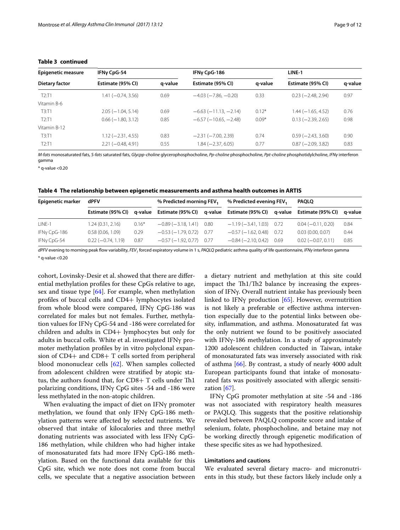| <b>Epigenetic measure</b> | IFNy CpG-54              |         | IFNy CpG-186           |         | LINE-1               |         |  |
|---------------------------|--------------------------|---------|------------------------|---------|----------------------|---------|--|
| Dietary factor            | Estimate (95% CI)        | q-value | Estimate (95% CI)      | q-value | Estimate (95% CI)    | q-value |  |
| T2: T1                    | 1.41 (-0.74, 3.56)       | 0.69    | $-4.03(-7.86, -0.20)$  | 0.33    | $0.23 (-2.48, 2.94)$ | 0.97    |  |
| Vitamin B-6               |                          |         |                        |         |                      |         |  |
| T3: T1                    | $2.05(-1.04, 5.14)$      | 0.69    | $-6.63(-11.13,-2.14)$  | $0.12*$ | $1.44 (-1.65, 4.52)$ | 0.76    |  |
| T2: T1                    | $0.66$ ( $-1.80$ , 3.12) | 0.85    | $-6.57(-10.65, -2.48)$ | $0.09*$ | $0.13 (-2.39, 2.65)$ | 0.98    |  |
| Vitamin B-12              |                          |         |                        |         |                      |         |  |
| T3:TT1                    | $1.12 (-2.31, 4.55)$     | 0.83    | $-2.31 (-7.00, 2.39)$  | 0.74    | $0.59(-2.43, 3.60)$  | 0.90    |  |
| T2:TT1                    | $2.21 (-0.48, 4.91)$     | 0.55    | $1.84 (-2.37, 6.05)$   | 0.77    | $0.87 (-2.09, 3.82)$ | 0.83    |  |

## **Table 3 continued**

*M-fats* monosaturated fats, *S-fats* saturated fats, *Glycpp-choline* glycerophosphocholine, *Pp-choline* phosphocholine, *Ppt-choline* phosphotidylcholine, *IFNγ* interferon gamma

 $*$  g-value  $<$ 0.20

<span id="page-8-0"></span>**Table 4 The relationship between epigenetic measurements and asthma health outcomes in ARTIS**

| <b>Epigenetic marker</b> | dPFV                |         | % Predicted evening FEV,<br>% Predicted morning FEV,                                            |  | <b>PAQLQ</b>                 |                      |         |
|--------------------------|---------------------|---------|-------------------------------------------------------------------------------------------------|--|------------------------------|----------------------|---------|
|                          |                     |         | Estimate (95% CI) q-value Estimate (95% CI) q-value Estimate (95% CI) q-value Estimate (95% CI) |  |                              |                      | a-value |
| LINE-1                   | 1.24(0.31, 2.16)    | $0.16*$ | $-0.89(-3.18, 1.41)$ 0.80                                                                       |  | $-1.19(-3.41, 1.03)$ 0.72    | $0.04 (-0.11, 0.20)$ | 0.84    |
| IFNy CpG-186             | 0.58(0.06, 1.09)    | 0.29    | $-0.53(-1.79.0.72)$ 0.77                                                                        |  | $-0.57(-1.62, 0.48)$ 0.72    | 0.03(0.00, 0.07)     | 0.44    |
| IFNy CpG-54              | $0.22(-0.74, 1.19)$ | 0.87    | $-0.57(-1.92, 0.77)$ 0.77                                                                       |  | $-0.84$ $(-2.10, 0.42)$ 0.69 | $0.02 (-0.07, 0.11)$ | 0.85    |

*dPFV* evening to morning peak flow variability, *FEV1* forced expiratory volume in 1 s, *PAQLQ* pediatric asthma quality of life questionnaire, *IFNγ* interferon gamma  $*$  g-value <0.20

cohort, Lovinsky-Desir et al. showed that there are differential methylation profiles for these CpGs relative to age, sex and tissue type [\[64](#page-11-2)]. For example, when methylation profiles of buccal cells and CD4+ lymphocytes isolated from whole blood were compared, IFNγ CpG-186 was correlated for males but not females. Further, methylation values for IFNγ CpG-54 and -186 were correlated for children and adults in CD4+ lymphocytes but only for adults in buccal cells. White et al. investigated IFNγ promoter methylation profiles by in vitro polyclonal expansion of CD4+ and CD8+ T cells sorted from peripheral blood mononuclear cells [\[62\]](#page-11-0). When samples collected from adolescent children were stratified by atopic status, the authors found that, for CD8+ T cells under Th1 polarizing conditions, IFNγ CpG sites -54 and -186 were less methylated in the non-atopic children.

When evaluating the impact of diet on IFNγ promoter methylation, we found that only IFNγ CpG-186 methylation patterns were affected by selected nutrients. We observed that intake of kilocalories and three methyl donating nutrients was associated with less IFNγ CpG-186 methylation, while children who had higher intake of monosaturated fats had more IFNγ CpG-186 methylation. Based on the functional data available for this CpG site, which we note does not come from buccal cells, we speculate that a negative association between a dietary nutrient and methylation at this site could impact the Th1/Th2 balance by increasing the expression of IFNγ. Overall nutrient intake has previously been linked to IFNγ production [[65\]](#page-11-3). However, overnutrition is not likely a preferable or effective asthma intervention especially due to the potential links between obesity, inflammation, and asthma. Monosaturated fat was the only nutrient we found to be positively associated with IFNγ-186 methylation. In a study of approximately 1200 adolescent children conducted in Taiwan, intake of monosaturated fats was inversely associated with risk of asthma [[66\]](#page-11-4). By contrast, a study of nearly 4000 adult European participants found that intake of monosaturated fats was positively associated with allergic sensitization [[67](#page-11-5)].

IFNγ CpG promoter methylation at site -54 and -186 was not associated with respiratory health measures or PAQLQ. This suggests that the positive relationship revealed between PAQLQ composite score and intake of selenium, folate, phosphocholine, and betaine may not be working directly through epigenetic modification of these specific sites as we had hypothesized.

## **Limitations and cautions**

We evaluated several dietary macro- and micronutrients in this study, but these factors likely include only a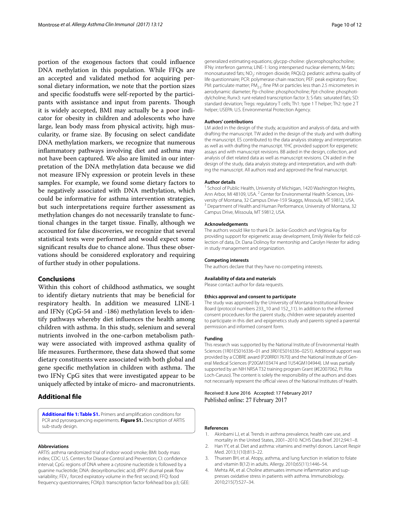portion of the exogenous factors that could influence DNA methylation in this population. While FFQs are an accepted and validated method for acquiring personal dietary information, we note that the portion sizes and specific foodstuffs were self-reported by the participants with assistance and input from parents. Though it is widely accepted, BMI may actually be a poor indicator for obesity in children and adolescents who have large, lean body mass from physical activity, high muscularity, or frame size. By focusing on select candidate DNA methylation markers, we recognize that numerous inflammatory pathways involving diet and asthma may not have been captured. We also are limited in our interpretation of the DNA methylation data because we did not measure IFNγ expression or protein levels in these samples. For example, we found some dietary factors to be negatively associated with DNA methylation, which could be informative for asthma intervention strategies, but such interpretations require further assessment as methylation changes do not necessarily translate to functional changes in the target tissue. Finally, although we accounted for false discoveries, we recognize that several statistical tests were performed and would expect some significant results due to chance alone. Thus these observations should be considered exploratory and requiring of further study in other populations.

## **Conclusions**

Within this cohort of childhood asthmatics, we sought to identify dietary nutrients that may be beneficial for respiratory health. In addition we measured LINE-1 and IFNγ (CpG-54 and -186) methylation levels to identify pathways whereby diet influences the health among children with asthma. In this study, selenium and several nutrients involved in the one-carbon metabolism pathway were associated with improved asthma quality of life measures. Furthermore, these data showed that some dietary constituents were associated with both global and gene specific methylation in children with asthma. The two IFNγ CpG sites that were investigated appear to be uniquely affected by intake of micro- and macronutrients.

## **Additional file**

<span id="page-9-3"></span>**[Additional file 1: Table S1.](http://dx.doi.org/10.1186/s13223-017-0187-8)** Primers and amplification conditions for PCR and pyrosequencing experiments. **Figure S1.** Description of ARTIS sub-study design.

#### **Abbreviations**

ARTIS: asthma randomized trial of indoor wood smoke; BMI: body mass index; CDC: U.S. Centers for Disease Control and Prevention; CI: confidence interval; CpG: regions of DNA where a cytosine nucleotide is followed by a guanine nucleotide; DNA: deoxyribonucleic acid; dPFV: diurnal peak flow variability; FEV<sub>1</sub>: forced expiratory volume in the first second; FFQ: food frequency questionnaires; FOXp3: transcription factor forkhead box p3; GEE: generalized estimating equations; glycpp-choline: glycerophosphocholine; IFNγ: interferon gamma; LINE-1: long interspersed nuclear elements; M-fats: monosaturated fats; NO<sub>2</sub>: nitrogen dioxide; PAQLQ: pediatric asthma quality of life questionnaire; PCR: polymerase chain reaction; PEF: peak expiratory flow; PM: particulate matter;  $PM_{2.5}$ : fine PM or particles less than 2.5 micrometers in aerodynamic diameter; Pp-choline: phosphocholine; Ppt-choline: phosphotidylcholine; Runx3: runt-related transcription factor 3; S-fats: saturated fats; SD: standard deviation; Tregs: regulatory T cells; Th1: type 1 T helper; Th2: type 2 T helper; USEPA: U.S. Environmental Protection Agency.

#### **Authors' contributions**

LM aided in the design of the study, acquisition and analysis of data, and with drafting the manuscript. TW aided in the design of the study and with drafting the manuscript. ES contributed to the data analysis strategy and interpretation as well as with drafting the manuscript. YHC provided support for epigenetic assays and with manuscript revisions. BB aided in the design, collection, and analysis of diet related data as well as manuscript revisions. CN aided in the design of the study, data analysis strategy and interpretation, and with drafting the manuscript. All authors read and approved the final manuscript.

#### **Author details**

<sup>1</sup> School of Public Health, University of Michigan, 1420 Washington Heights, Ann Arbor, MI 48109, USA. <sup>2</sup> Center for Environmental Health Sciences, Uni-<br>versity of Montana, 32 Campus Drive-159 Skaggs, Missoula, MT 59812, USA. <sup>3</sup> Department of Health and Human Performance, University of Montana, 32 Campus Drive, Missoula, MT 59812, USA.

#### **Acknowledgements**

The authors would like to thank Dr. Jackie Goodrich and Virginia Kay for providing support for epigenetic assay development, Emily Weiler for field collection of data, Dr. Dana Dolinoy for mentorship and Carolyn Hester for aiding in study management and organization.

#### **Competing interests**

The authors declare that they have no competing interests.

#### **Availability of data and materials**

Please contact author for data requests.

## **Ethics approval and consent to participate**

The study was approved by the University of Montana Institutional Review Board (protocol numbers 233\_10 and 152\_11). In addition to the informed consent procedures for the parent study, children were separately assented to participate in this diet and epigenetics study and parents signed a parental permission and informed consent form.

#### **Funding**

This research was supported by the National Institute of Environmental Health Sciences (1R01ES016336–01 and 3R01ES016336–02S1). Additional support was provided by a COBRE award (P20RR017670) and the National Institute of General Medical Sciences (P20GM103474 and 1U54GM104944). LM was partially supported by an NIH NRSA T32 training program Grant (#E2007062, PI: Rita Loch-Caruso). The content is solely the responsibility of the authors and does not necessarily represent the official views of the National Institutes of Health.

Received: 8 June 2016 Accepted: 17 February 2017 Published online: 27 February 2017

#### **References**

- <span id="page-9-0"></span>Akinbami LJ, et al. Trends in asthma prevalence, health care use, and mortality in the United States, 2001–2010. NCHS Data Brief. 2012;94:1–8.
- <span id="page-9-1"></span>2. Han YY, et al. Diet and asthma: vitamins and methyl donors. Lancet Respir Med. 2013;1(10):813–22.
- <span id="page-9-2"></span>3. Thuesen BH, et al. Atopy, asthma, and lung function in relation to folate and vitamin B(12) in adults. Allergy. 2010;65(11):1446–54.
- 4. Mehta AK, et al. Choline attenuates immune inflammation and suppresses oxidative stress in patients with asthma. Immunobiology. 2010;215(7):527–34.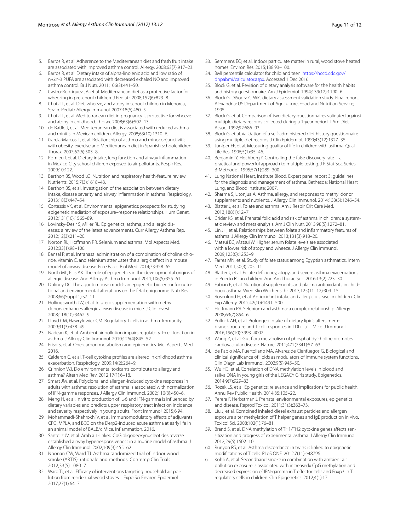- 5. Barros R, et al. Adherence to the Mediterranean diet and fresh fruit intake are associated with improved asthma control. Allergy. 2008;63(7):917–23.
- 6. Barros R, et al. Dietary intake of alpha-linolenic acid and low ratio of n-6:n-3 PUFA are associated with decreased exhaled NO and improved asthma control. Br J Nutr. 2011;106(3):441–50.
- 7. Castro-Rodriguez JA, et al. Mediterranean diet as a protective factor for wheezing in preschool children. J Pediatr. 2008;152(6):823–8.
- 8. Chatzi L, et al. Diet, wheeze, and atopy in school children in Menorca, Spain. Pediatr Allergy Immunol. 2007;18(6):480–5.
- 9. Chatzi L, et al. Mediterranean diet in pregnancy is protective for wheeze and atopy in childhood. Thorax. 2008;63(6):507–13.
- 10. de Batlle J, et al. Mediterranean diet is associated with reduced asthma and rhinitis in Mexican children. Allergy. 2008;63(10):1310–6.
- 11. Garcia-Marcos L, et al. Relationship of asthma and rhinoconjunctivitis with obesity, exercise and Mediterranean diet in Spanish schoolchildren. Thorax. 2007;62(6):503–8.
- <span id="page-10-0"></span>12. Romieu I, et al. Dietary intake, lung function and airway inflammation in Mexico City school children exposed to air pollutants. Respir Res. 2009;10:122.
- <span id="page-10-1"></span>13. Berthon BS, Wood LG. Nutrition and respiratory health-feature review. Nutrients. 2015;7(3):1618–43.
- <span id="page-10-2"></span>14. Berthon BS, et al. Investigation of the association between dietary intake, disease severity and airway inflammation in asthma. Respirology. 2013;18(3):447–54.
- <span id="page-10-3"></span>15. Cortessis VK, et al. Environmental epigenetics: prospects for studying epigenetic mediation of exposure–response relationships. Hum Genet. 2012;131(10):1565–89.
- <span id="page-10-4"></span>16. Lovinsky-Desir S, Miller RL. Epigenetics, asthma, and allergic diseases: a review of the latest advancements. Curr Allergy Asthma Rep. 2012;12(3):211–20.
- <span id="page-10-5"></span>17. Norton RL, Hoffmann PR. Selenium and asthma. Mol Aspects Med. 2012;33(1):98–106.
- <span id="page-10-6"></span>18. Bansal P, et al. Intranasal administration of a combination of choline chloride, vitamin C, and selenium attenuates the allergic effect in a mouse model of airway disease. Free Radic Biol Med. 2014;73:358–65.
- <span id="page-10-7"></span>19. North ML, Ellis AK. The role of epigenetics in the developmental origins of allergic disease. Ann Allergy Asthma Immunol. 2011;106(5):355–61.
- <span id="page-10-8"></span>20. Dolinoy DC. The agouti mouse model: an epigenetic biosensor for nutritional and environmental alterations on the fetal epigenome. Nutr Rev. 2008;66(Suppl 1):S7–11.
- <span id="page-10-9"></span>21. Hollingsworth JW, et al. In utero supplementation with methyl donors enhances allergic airway disease in mice. J Clin Invest. 2008;118(10):3462–9.
- <span id="page-10-10"></span>22. Lloyd CM, Hawrylowicz CM. Regulatory T cells in asthma. Immunity. 2009;31(3):438–49.
- <span id="page-10-11"></span>23. Nadeau K, et al. Ambient air pollution impairs regulatory T-cell function in asthma. J Allergy Clin Immunol. 2010;126(4):845–52.
- <span id="page-10-12"></span>24. Friso S, et al. One-carbon metabolism and epigenetics. Mol Aspects Med. 2016.
- <span id="page-10-13"></span>25. Calderon C, et al. T-cell cytokine profiles are altered in childhood asthma exacerbation. Respirology. 2009;14(2):264–9.
- <span id="page-10-14"></span>26. Crinnion WJ. Do environmental toxicants contribute to allergy and asthma? Altern Med Rev. 2012;17(1):6–18.
- <span id="page-10-15"></span>27. Smart JM, et al. Polyclonal and allergen-induced cytokine responses in adults with asthma: resolution of asthma is associated with normalization of IFN-gamma responses. J Allergy Clin Immunol. 2002;110(3):450–6.
- <span id="page-10-16"></span>28. Meng H, et al. In vitro production of IL-6 and IFN-gamma is influenced by dietary variables and predicts upper respiratory tract infection incidence and severity respectively in young adults. Front Immunol. 2015;6:94.
- <span id="page-10-17"></span>29. Mohammadi-Shahrokhi V, et al. Immunomodulatory effects of adjuvants CPG, MPLA, and BCG on the Derp2-induced acute asthma at early life in an animal model of BALB/c Mice. Inflammation. 2016.
- <span id="page-10-18"></span>30. Santeliz JV, et al. Amb a 1-linked CpG oligodeoxynucleotides reverse established airway hyperresponsiveness in a murine model of asthma. J Allergy Clin Immunol. 2002;109(3):455–62.
- <span id="page-10-19"></span>31. Noonan CW, Ward TJ. Asthma randomized trial of indoor wood smoke (ARTIS): rationale and methods. Contemp Clin Trials. 2012;33(5):1080–7.
- 32. Ward TJ, et al. Efficacy of interventions targeting household air pollution from residential wood stoves. J Expo Sci Environ Epidemiol. 2017;27(1):64–71.
- <span id="page-10-20"></span>33. Semmens EO, et al. Indoor particulate matter in rural, wood stove heated homes. Environ Res. 2015;138:93–100.
- <span id="page-10-21"></span>34. BMI percentile calculator for child and teen. [https://nccd.cdc.gov/](https://nccd.cdc.gov/dnpabmi/calculator.aspx) [dnpabmi/calculator.aspx](https://nccd.cdc.gov/dnpabmi/calculator.aspx). Accessed 1 Dec 2016.
- <span id="page-10-22"></span>35. Block G, et al. Revision of dietary analysis software for the health habits and history questionnaire. Am J Epidemiol. 1994;139(12):1190–6.
- 36. Block G, DiSogra C. WIC dietary assessment validation study. Final report. Alexandria: US Department of Agriculture, Food and Nutrition Service; 1995.
- 37. Block G, et al. Comparison of two dietary questionnaires validated against multiple dietary records collected during a 1-year period. J Am Diet Assoc. 1992;92:686–93.
- <span id="page-10-23"></span>38. Block G, et al. Validation of a self-administered diet history questionnaire using multiple diet records. J Clin Epidemiol. 1990;43(12):1327–35.
- <span id="page-10-24"></span>39. Juniper EF, et al. Measuring quality of life in children with asthma. Qual Life Res. 1996;5(1):35–46.
- <span id="page-10-25"></span>40. Benjamini Y, Hochberg Y. Controlling the false discovery rate—a practical and powerful approach to multiple testing. J R Stat Soc Series B-Methodol. 1995;57(1):289–300.
- <span id="page-10-26"></span>41. Lung National Heart, Institute Blood. Expert panel report 3: guidelines for the diagnosis and management of asthma. Bethesda: National Heart Lung, and Blood Institute; 2007.
- <span id="page-10-27"></span>42. Sharma S, Litonjua A. Asthma, allergy, and responses to methyl donor supplements and nutrients. J Allergy Clin Immunol. 2014;133(5):1246–54.
- <span id="page-10-28"></span>43. Blatter J, et al. Folate and asthma. Am J Respir Crit Care Med. 2013;188(1):12–7.
- <span id="page-10-29"></span>44. Crider KS, et al. Prenatal folic acid and risk of asthma in children: a systematic review and meta-analysis. Am J Clin Nutr. 2013;98(5):1272–81.
- <span id="page-10-30"></span>45. Lin JH, et al. Relationships between folate and inflammatory features of asthma. J Allergy Clin Immunol. 2013;131(3):918–20.
- <span id="page-10-31"></span>46. Matsui EC, Matsui W. Higher serum folate levels are associated with a lower risk of atopy and wheeze. J Allergy Clin Immunol. 2009;123(6):1253–9.
- 47. Farres MN, et al. Study of folate status among Egyptian asthmatics. Intern Med. 2011;50(3):205–11.
- <span id="page-10-32"></span>48. Blatter J, et al. Folate deficiency, atopy, and severe asthma exacerbations in Puerto Rican children. Ann Am Thorac Soc. 2016;13(2):223–30.
- <span id="page-10-33"></span>49. Fabian E, et al. Nutritional supplements and plasma antioxidants in childhood asthma. Wien Klin Wochenschr. 2013;125(11–12):309–15.
- <span id="page-10-34"></span>50. Rosenlund H, et al. Antioxidant intake and allergic disease in children. Clin Exp Allergy. 2012;42(10):1491–500.
- <span id="page-10-35"></span>51. Hoffmann PR. Selenium and asthma: a complex relationship. Allergy. 2008;63(7):854–6.
- <span id="page-10-36"></span>52. Pollock AH, et al. Prolonged Intake of dietary lipids alters membrane structure and T cell responses in LDLr−/− Mice. J Immunol. 2016;196(10):3993–4002.
- <span id="page-10-37"></span>53. Wang Z, et al. Gut flora metabolism of phosphatidylcholine promotes cardiovascular disease. Nature. 2011;472(7341):57–63.
- <span id="page-10-38"></span>54. de Pablo MA, Puertollano MA, Alvarez de Cienfuegos G. Biological and clinical significance of lipids as modulators of immune system functions. Clin Diagn Lab Immunol. 2002;9(5):945–50.
- <span id="page-10-39"></span>55. Wu HC, et al. Correlation of DNA methylation levels in blood and saliva DNA in young girls of the LEGACY Girls study. Epigenetics. 2014;9(7):929–33.
- <span id="page-10-40"></span>56. Rozek LS, et al. Epigenetics: relevance and implications for public health. Annu Rev Public Health. 2014;35:105–22.
- <span id="page-10-41"></span>57. Perera F, Herbstman J. Prenatal environmental exposures, epigenetics, and disease. Reprod Toxicol. 2011;31(3):363–73.
- <span id="page-10-42"></span>58. Liu J, et al. Combined inhaled diesel exhaust particles and allergen exposure alter methylation of T helper genes and IgE production in vivo. Toxicol Sci. 2008;102(1):76–81.
- <span id="page-10-43"></span>59. Brand S, et al. DNA methylation of TH1/TH2 cytokine genes affects sensitization and progress of experimental asthma. J Allergy Clin Immunol. 2012;29(6):1602–10.
- <span id="page-10-44"></span>60. Runyon RS, et al. Asthma discordance in twins is linked to epigenetic modifications of T cells. PLoS ONE. 2012;7(11):e48796.
- 61. Kohli A, et al. Secondhand smoke in combination with ambient air pollution exposure is associated with increasedx CpG methylation and decreased expression of IFN-gamma in T effector cells and Foxp3 in T regulatory cells in children. Clin Epigenetics. 2012;4(1):17.